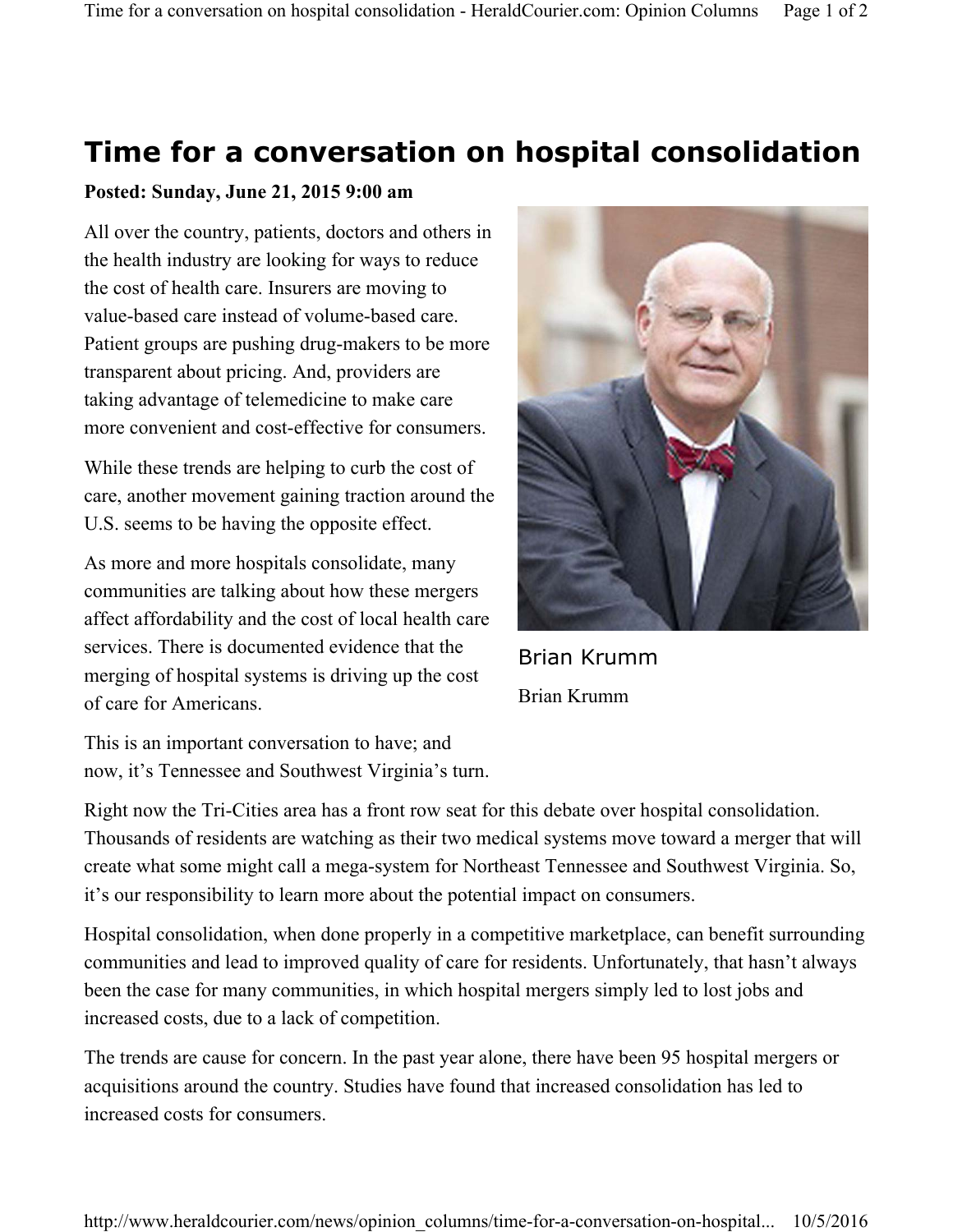## **Time for a conversation on hospital consolidation**

## **Posted: Sunday, June 21, 2015 9:00 am**

All over the country, patients, doctors and others in the health industry are looking for ways to reduce the cost of health care. Insurers are moving to value-based care instead of volume-based care. Patient groups are pushing drug-makers to be more transparent about pricing. And, providers are taking advantage of telemedicine to make care more convenient and cost-effective for consumers.

While these trends are helping to curb the cost of care, another movement gaining traction around the U.S. seems to be having the opposite effect.

As more and more hospitals consolidate, many communities are talking about how these mergers affect affordability and the cost of local health care services. There is documented evidence that the merging of hospital systems is driving up the cost of care for Americans.

Brian Krumm Brian Krumm

This is an important conversation to have; and now, it's Tennessee and Southwest Virginia's turn.

Right now the Tri-Cities area has a front row seat for this debate over hospital consolidation. Thousands of residents are watching as their two medical systems move toward a merger that will create what some might call a mega-system for Northeast Tennessee and Southwest Virginia. So, it's our responsibility to learn more about the potential impact on consumers.

Hospital consolidation, when done properly in a competitive marketplace, can benefit surrounding communities and lead to improved quality of care for residents. Unfortunately, that hasn't always been the case for many communities, in which hospital mergers simply led to lost jobs and increased costs, due to a lack of competition.

The trends are cause for concern. In the past year alone, there have been 95 hospital mergers or acquisitions around the country. Studies have found that increased consolidation has led to increased costs for consumers.